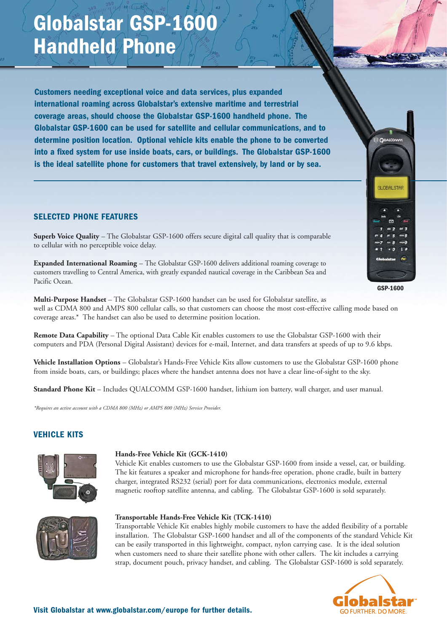# **Globalstar GSP-1600 Handheld Phone**

**Customers needing exceptional voice and data services, plus expanded international roaming across Globalstar's extensive maritime and terrestrial coverage areas, should choose the Globalstar GSP-1600 handheld phone. The Globalstar GSP-1600 can be used for satellite and cellular communications, and to determine position location. Optional vehicle kits enable the phone to be converted into a fixed system for use inside boats, cars, or buildings. The Globalstar GSP-1600 is the ideal satellite phone for customers that travel extensively, by land or by sea.**

## **SELECTED PHONE FEATURES**

**Superb Voice Quality** – The Globalstar GSP-1600 offers secure digital call quality that is comparable to cellular with no perceptible voice delay.

**Expanded International Roaming** – The Globalstar GSP-1600 delivers additional roaming coverage to customers travelling to Central America, with greatly expanded nautical coverage in the Caribbean Sea and Pacific Ocean.

**Multi-Purpose Handset** – The Globalstar GSP-1600 handset can be used for Globalstar satellite, as well as CDMA 800 and AMPS 800 cellular calls, so that customers can choose the most cost-effective calling mode based on coverage areas.\* The handset can also be used to determine position location.

**Remote Data Capability** – The optional Data Cable Kit enables customers to use the Globalstar GSP-1600 with their computers and PDA (Personal Digital Assistant) devices for e-mail, Internet, and data transfers at speeds of up to 9.6 kbps.

**Vehicle Installation Options** – Globalstar's Hands-Free Vehicle Kits allow customers to use the Globalstar GSP-1600 phone from inside boats, cars, or buildings; places where the handset antenna does not have a clear line-of-sight to the sky.

**Standard Phone Kit** – Includes QUALCOMM GSP-1600 handset, lithium ion battery, wall charger, and user manual.

*\*Requires an active account with a CDMA 800 (MHz) or AMPS 800 (MHz) Service Provider.*

### **VEHICLE KITS**



#### **Hands-Free Vehicle Kit (GCK-1410)**

Vehicle Kit enables customers to use the Globalstar GSP-1600 from inside a vessel, car, or building. The kit features a speaker and microphone for hands-free operation, phone cradle, built in battery charger, integrated RS232 (serial) port for data communications, electronics module, external magnetic rooftop satellite antenna, and cabling. The Globalstar GSP-1600 is sold separately.



#### **Transportable Hands-Free Vehicle Kit (TCK-1410)**

Transportable Vehicle Kit enables highly mobile customers to have the added flexibility of a portable installation. The Globalstar GSP-1600 handset and all of the components of the standard Vehicle Kit can be easily transported in this lightweight, compact, nylon carrying case. It is the ideal solution when customers need to share their satellite phone with other callers. The kit includes a carrying strap, document pouch, privacy handset, and cabling. The Globalstar GSP-1600 is sold separately.



**GSP-1600**

**CUALCOM** 

**SLOBALSTAR**